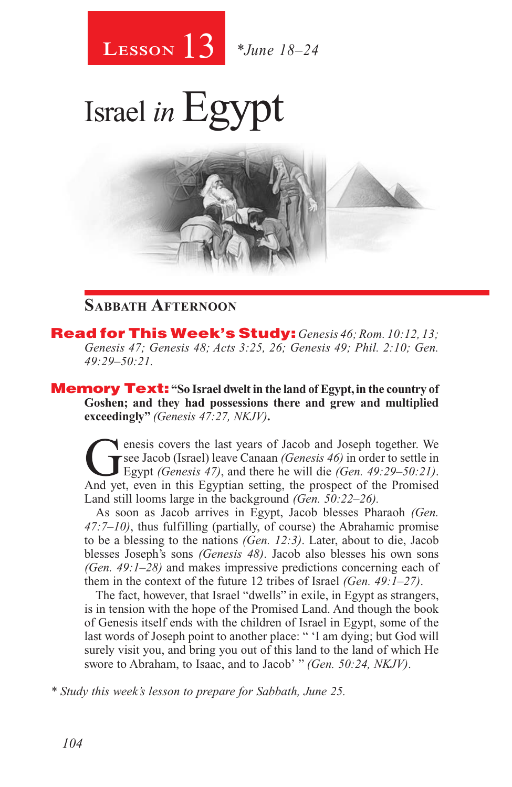

# Israel *in*Egypt



#### **Sabbath Afternoon**

Read for This Week's Study: *Genesis 46; Rom. 10:12, 13; Genesis 47; Genesis 48; Acts 3:25, 26; Genesis 49; Phil. 2:10; Gen. 49:29–50:21.*

**Memory Text:** "So Israel dwelt in the land of Egypt, in the country of **Goshen; and they had possessions there and grew and multiplied exceedingly"** *(Genesis 47:27, NKJV)***.**

enesis covers the last years of Jacob and Joseph together. We<br>Genesis 46 (Israel) leave Canaan (*Genesis 46*) in order to settle in<br>Egypt (*Genesis 47*), and there he will die (*Gen. 49:29–50:21*). see Jacob (Israel) leave Canaan *(Genesis 46)* in order to settle in Egypt *(Genesis 47)*, and there he will die *(Gen. 49:29–50:21)*. And yet, even in this Egyptian setting, the prospect of the Promised Land still looms large in the background *(Gen. 50:22–26).*

As soon as Jacob arrives in Egypt, Jacob blesses Pharaoh *(Gen. 47:7–10)*, thus fulfilling (partially, of course) the Abrahamic promise to be a blessing to the nations *(Gen. 12:3)*. Later, about to die, Jacob blesses Joseph's sons *(Genesis 48)*. Jacob also blesses his own sons *(Gen. 49:1–28)* and makes impressive predictions concerning each of them in the context of the future 12 tribes of Israel *(Gen. 49:1–27)*.

The fact, however, that Israel "dwells" in exile, in Egypt as strangers, is in tension with the hope of the Promised Land. And though the book of Genesis itself ends with the children of Israel in Egypt, some of the last words of Joseph point to another place: " 'I am dying; but God will surely visit you, and bring you out of this land to the land of which He swore to Abraham, to Isaac, and to Jacob' " *(Gen. 50:24, NKJV)*.

*\* Study this week's lesson to prepare for Sabbath, June 25.*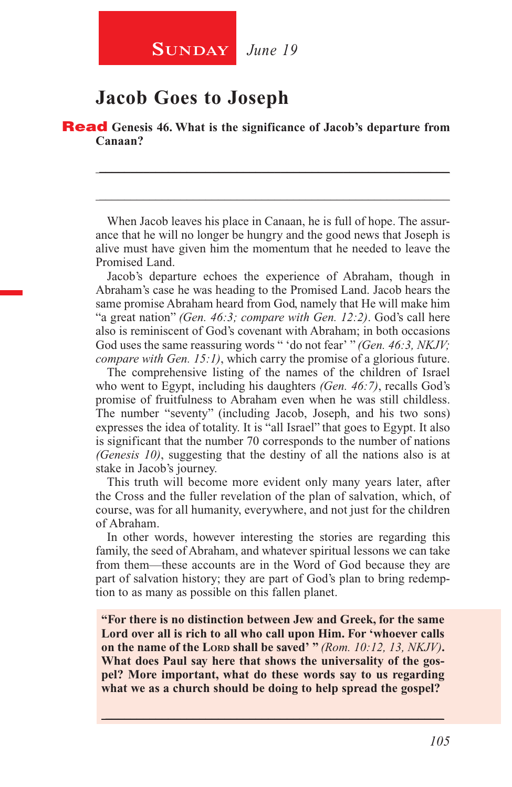## **Jacob Goes to Joseph**

Read **Genesis 46. What is the significance of Jacob's departure from Canaan?**

When Jacob leaves his place in Canaan, he is full of hope. The assurance that he will no longer be hungry and the good news that Joseph is alive must have given him the momentum that he needed to leave the Promised Land.

\_\_\_\_\_\_\_\_\_\_\_\_\_\_\_\_\_\_\_\_\_\_\_\_\_\_\_\_\_\_\_\_\_\_\_\_\_\_\_\_\_\_\_\_\_\_\_\_\_\_\_\_\_\_\_\_

\_\_\_\_\_\_\_\_\_\_\_\_\_\_\_\_\_\_\_\_\_\_\_\_\_\_\_\_\_\_\_\_\_\_\_\_\_\_\_\_\_\_\_\_\_\_\_\_\_\_\_\_\_\_\_\_

Jacob's departure echoes the experience of Abraham, though in Abraham's case he was heading to the Promised Land. Jacob hears the same promise Abraham heard from God, namely that He will make him "a great nation" *(Gen. 46:3; compare with Gen. 12:2)*. God's call here also is reminiscent of God's covenant with Abraham; in both occasions God uses the same reassuring words " 'do not fear' " *(Gen. 46:3, NKJV; compare with Gen. 15:1)*, which carry the promise of a glorious future.

The comprehensive listing of the names of the children of Israel who went to Egypt, including his daughters *(Gen. 46:7)*, recalls God's promise of fruitfulness to Abraham even when he was still childless. The number "seventy" (including Jacob, Joseph, and his two sons) expresses the idea of totality. It is "all Israel" that goes to Egypt. It also is significant that the number 70 corresponds to the number of nations *(Genesis 10)*, suggesting that the destiny of all the nations also is at stake in Jacob's journey.

This truth will become more evident only many years later, after the Cross and the fuller revelation of the plan of salvation, which, of course, was for all humanity, everywhere, and not just for the children of Abraham.

In other words, however interesting the stories are regarding this family, the seed of Abraham, and whatever spiritual lessons we can take from them—these accounts are in the Word of God because they are part of salvation history; they are part of God's plan to bring redemption to as many as possible on this fallen planet.

**"For there is no distinction between Jew and Greek, for the same Lord over all is rich to all who call upon Him. For 'whoever calls on the name of the Lorp shall be saved' "** *(Rom. 10:12, 13, NKJV)*. **What does Paul say here that shows the universality of the gospel? More important, what do these words say to us regarding what we as a church should be doing to help spread the gospel?**

 $\_$  , and the set of the set of the set of the set of the set of the set of the set of the set of the set of the set of the set of the set of the set of the set of the set of the set of the set of the set of the set of th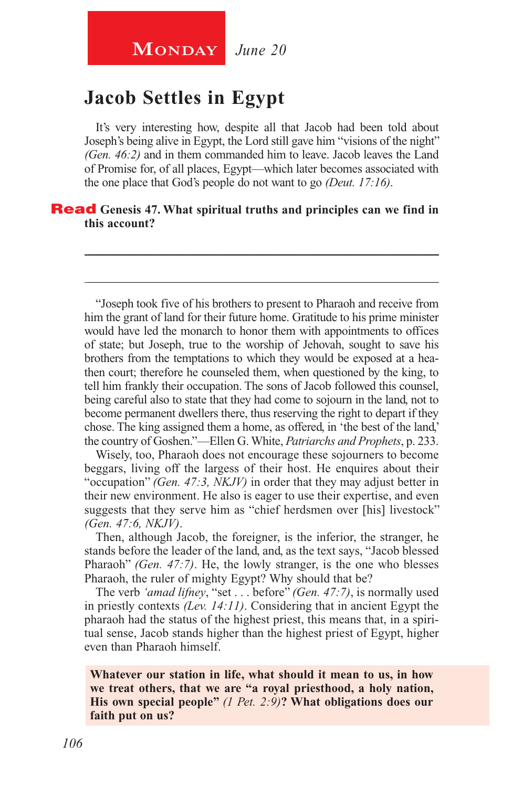# **MONDAY** June 20

# **Jacob Settles in Egypt**

It's very interesting how, despite all that Jacob had been told about Joseph's being alive in Egypt, the Lord still gave him "visions of the night" *(Gen. 46:2)* and in them commanded him to leave. Jacob leaves the Land of Promise for, of all places, Egypt—which later becomes associated with the one place that God's people do not want to go *(Deut. 17:16)*.

\_\_\_\_\_\_\_\_\_\_\_\_\_\_\_\_\_\_\_\_\_\_\_\_\_\_\_\_\_\_\_\_\_\_\_\_\_\_\_\_\_\_\_\_\_\_\_\_\_\_\_\_\_\_\_\_

\_\_\_\_\_\_\_\_\_\_\_\_\_\_\_\_\_\_\_\_\_\_\_\_\_\_\_\_\_\_\_\_\_\_\_\_\_\_\_\_\_\_\_\_\_\_\_\_\_\_\_\_\_\_\_\_

#### **Read** Genesis 47. What spiritual truths and principles can we find in **this account?**

"Joseph took five of his brothers to present to Pharaoh and receive from him the grant of land for their future home. Gratitude to his prime minister would have led the monarch to honor them with appointments to offices of state; but Joseph, true to the worship of Jehovah, sought to save his brothers from the temptations to which they would be exposed at a heathen court; therefore he counseled them, when questioned by the king, to tell him frankly their occupation. The sons of Jacob followed this counsel, being careful also to state that they had come to sojourn in the land, not to become permanent dwellers there, thus reserving the right to depart if they chose. The king assigned them a home, as offered, in 'the best of the land,' the country of Goshen."—Ellen G. White, *Patriarchs and Prophets*, p. 233.

Wisely, too, Pharaoh does not encourage these sojourners to become beggars, living off the largess of their host. He enquires about their "occupation" *(Gen. 47:3, NKJV)* in order that they may adjust better in their new environment. He also is eager to use their expertise, and even suggests that they serve him as "chief herdsmen over [his] livestock" *(Gen. 47:6, NKJV)*.

Then, although Jacob, the foreigner, is the inferior, the stranger, he stands before the leader of the land, and, as the text says, "Jacob blessed Pharaoh" *(Gen. 47:7)*. He, the lowly stranger, is the one who blesses Pharaoh, the ruler of mighty Egypt? Why should that be?

The verb *'amad lifney*, "set . . . before" *(Gen. 47:7)*, is normally used in priestly contexts *(Lev. 14:11)*. Considering that in ancient Egypt the pharaoh had the status of the highest priest, this means that, in a spiritual sense, Jacob stands higher than the highest priest of Egypt, higher even than Pharaoh himself.

**Whatever our station in life, what should it mean to us, in how we treat others, that we are "a royal priesthood, a holy nation, His own special people"** *(1 Pet. 2:9)***? What obligations does our faith put on us?**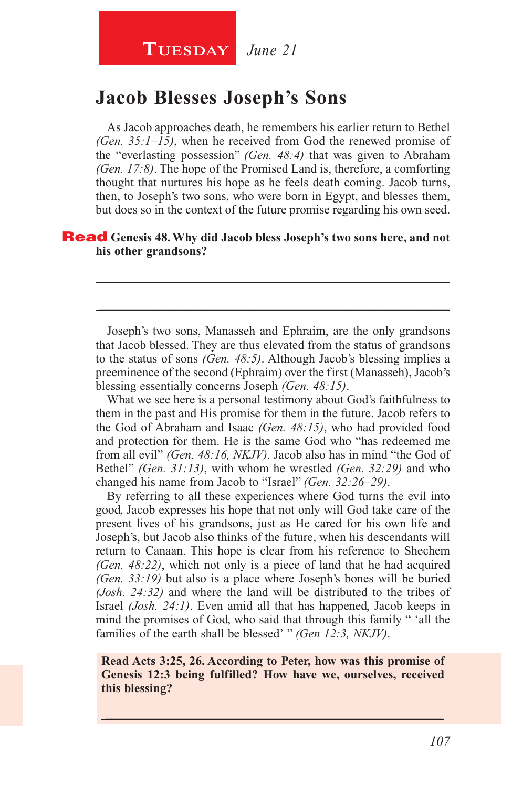## **Jacob Blesses Joseph's Sons**

As Jacob approaches death, he remembers his earlier return to Bethel *(Gen. 35:1–15)*, when he received from God the renewed promise of the "everlasting possession" *(Gen. 48:4)* that was given to Abraham *(Gen. 17:8)*. The hope of the Promised Land is, therefore, a comforting thought that nurtures his hope as he feels death coming. Jacob turns, then, to Joseph's two sons, who were born in Egypt, and blesses them, but does so in the context of the future promise regarding his own seed.

#### Read **Genesis 48. Why did Jacob bless Joseph's two sons here, and not his other grandsons?**

Joseph's two sons, Manasseh and Ephraim, are the only grandsons that Jacob blessed. They are thus elevated from the status of grandsons to the status of sons *(Gen. 48:5)*. Although Jacob's blessing implies a preeminence of the second (Ephraim) over the first (Manasseh), Jacob's blessing essentially concerns Joseph *(Gen. 48:15)*.

\_\_\_\_\_\_\_\_\_\_\_\_\_\_\_\_\_\_\_\_\_\_\_\_\_\_\_\_\_\_\_\_\_\_\_\_\_\_\_\_\_\_\_\_\_\_\_\_\_\_\_\_\_\_\_\_

\_\_\_\_\_\_\_\_\_\_\_\_\_\_\_\_\_\_\_\_\_\_\_\_\_\_\_\_\_\_\_\_\_\_\_\_\_\_\_\_\_\_\_\_\_\_\_\_\_\_\_\_\_\_\_\_

What we see here is a personal testimony about God's faithfulness to them in the past and His promise for them in the future. Jacob refers to the God of Abraham and Isaac *(Gen. 48:15)*, who had provided food and protection for them. He is the same God who "has redeemed me from all evil" *(Gen. 48:16, NKJV)*. Jacob also has in mind "the God of Bethel" *(Gen. 31:13)*, with whom he wrestled *(Gen. 32:29)* and who changed his name from Jacob to "Israel" *(Gen. 32:26–29)*.

By referring to all these experiences where God turns the evil into good, Jacob expresses his hope that not only will God take care of the present lives of his grandsons, just as He cared for his own life and Joseph's, but Jacob also thinks of the future, when his descendants will return to Canaan. This hope is clear from his reference to Shechem *(Gen. 48:22)*, which not only is a piece of land that he had acquired *(Gen. 33:19)* but also is a place where Joseph's bones will be buried *(Josh. 24:32)* and where the land will be distributed to the tribes of Israel *(Josh. 24:1)*. Even amid all that has happened, Jacob keeps in mind the promises of God, who said that through this family " 'all the families of the earth shall be blessed' " *(Gen 12:3, NKJV)*.

**Read Acts 3:25, 26. According to Peter, how was this promise of Genesis 12:3 being fulfilled? How have we, ourselves, received this blessing?**

 $\_$  , and the set of the set of the set of the set of the set of the set of the set of the set of the set of the set of the set of the set of the set of the set of the set of the set of the set of the set of the set of th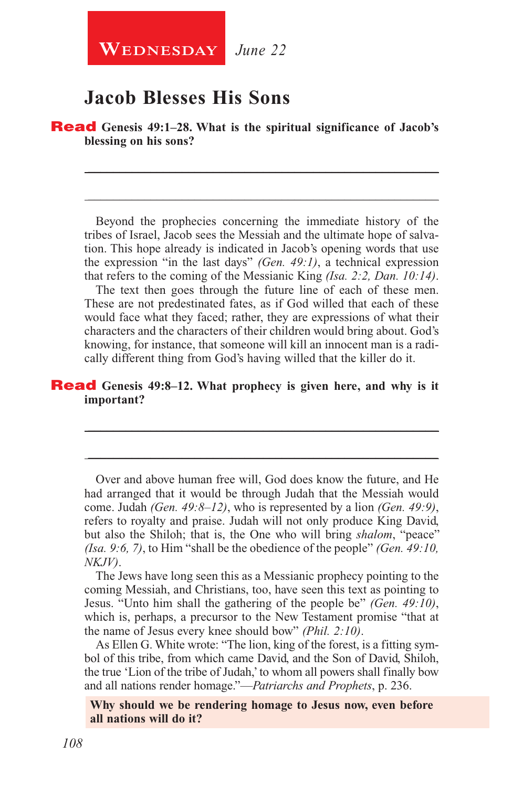### **Jacob Blesses His Sons**

Read **Genesis 49:1–28. What is the spiritual significance of Jacob's blessing on his sons?**

Beyond the prophecies concerning the immediate history of the tribes of Israel, Jacob sees the Messiah and the ultimate hope of salvation. This hope already is indicated in Jacob's opening words that use the expression "in the last days" *(Gen. 49:1)*, a technical expression that refers to the coming of the Messianic King *(Isa. 2:2, Dan. 10:14)*.

\_\_\_\_\_\_\_\_\_\_\_\_\_\_\_\_\_\_\_\_\_\_\_\_\_\_\_\_\_\_\_\_\_\_\_\_\_\_\_\_\_\_\_\_\_\_\_\_\_\_\_\_\_\_\_\_

\_\_\_\_\_\_\_\_\_\_\_\_\_\_\_\_\_\_\_\_\_\_\_\_\_\_\_\_\_\_\_\_\_\_\_\_\_\_\_\_\_\_\_\_\_\_\_\_\_\_\_\_\_\_\_\_

The text then goes through the future line of each of these men. These are not predestinated fates, as if God willed that each of these would face what they faced; rather, they are expressions of what their characters and the characters of their children would bring about. God's knowing, for instance, that someone will kill an innocent man is a radically different thing from God's having willed that the killer do it.

#### Read **Genesis 49:8–12. What prophecy is given here, and why is it important?**

Over and above human free will, God does know the future, and He had arranged that it would be through Judah that the Messiah would come. Judah *(Gen. 49:8–12)*, who is represented by a lion *(Gen. 49:9)*, refers to royalty and praise. Judah will not only produce King David, but also the Shiloh; that is, the One who will bring *shalom*, "peace" *(Isa. 9:6, 7)*, to Him "shall be the obedience of the people" *(Gen. 49:10, NKJV)*.

\_\_\_\_\_\_\_\_\_\_\_\_\_\_\_\_\_\_\_\_\_\_\_\_\_\_\_\_\_\_\_\_\_\_\_\_\_\_\_\_\_\_\_\_\_\_\_\_\_\_\_\_\_\_\_\_

\_\_\_\_\_\_\_\_\_\_\_\_\_\_\_\_\_\_\_\_\_\_\_\_\_\_\_\_\_\_\_\_\_\_\_\_\_\_\_\_\_\_\_\_\_\_\_\_\_\_\_\_\_\_\_\_

The Jews have long seen this as a Messianic prophecy pointing to the coming Messiah, and Christians, too, have seen this text as pointing to Jesus. "Unto him shall the gathering of the people be" *(Gen. 49:10)*, which is, perhaps, a precursor to the New Testament promise "that at the name of Jesus every knee should bow" *(Phil. 2:10)*.

As Ellen G. White wrote: "The lion, king of the forest, is a fitting symbol of this tribe, from which came David, and the Son of David, Shiloh, the true 'Lion of the tribe of Judah,' to whom all powers shall finally bow and all nations render homage."—*Patriarchs and Prophets*, p. 236.

**Why should we be rendering homage to Jesus now, even before all nations will do it?**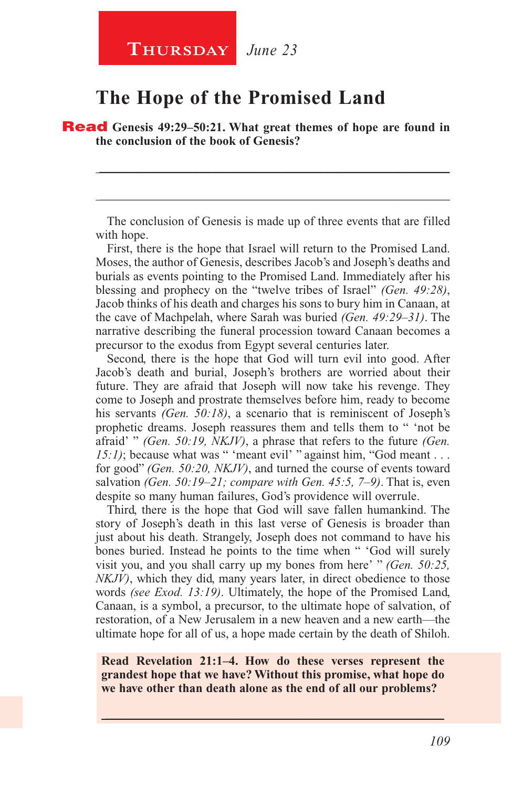## **The Hope of the Promised Land**

Read **Genesis 49:29–50:21. What great themes of hope are found in the conclusion of the book of Genesis?**

The conclusion of Genesis is made up of three events that are filled with hope.

\_\_\_\_\_\_\_\_\_\_\_\_\_\_\_\_\_\_\_\_\_\_\_\_\_\_\_\_\_\_\_\_\_\_\_\_\_\_\_\_\_\_\_\_\_\_\_\_\_\_\_\_\_\_\_\_

\_\_\_\_\_\_\_\_\_\_\_\_\_\_\_\_\_\_\_\_\_\_\_\_\_\_\_\_\_\_\_\_\_\_\_\_\_\_\_\_\_\_\_\_\_\_\_\_\_\_\_\_\_\_\_\_

First, there is the hope that Israel will return to the Promised Land. Moses, the author of Genesis, describes Jacob's and Joseph's deaths and burials as events pointing to the Promised Land. Immediately after his blessing and prophecy on the "twelve tribes of Israel" *(Gen. 49:28)*, Jacob thinks of his death and charges his sons to bury him in Canaan, at the cave of Machpelah, where Sarah was buried *(Gen. 49:29–31)*. The narrative describing the funeral procession toward Canaan becomes a precursor to the exodus from Egypt several centuries later.

Second, there is the hope that God will turn evil into good. After Jacob's death and burial, Joseph's brothers are worried about their future. They are afraid that Joseph will now take his revenge. They come to Joseph and prostrate themselves before him, ready to become his servants *(Gen. 50:18)*, a scenario that is reminiscent of Joseph's prophetic dreams. Joseph reassures them and tells them to " 'not be afraid' " *(Gen. 50:19, NKJV)*, a phrase that refers to the future *(Gen. 15:1*); because what was " 'meant evil' " against him, "God meant . . . for good" *(Gen. 50:20, NKJV)*, and turned the course of events toward salvation *(Gen. 50:19–21; compare with Gen. 45:5, 7–9)*. That is, even despite so many human failures, God's providence will overrule.

Third, there is the hope that God will save fallen humankind. The story of Joseph's death in this last verse of Genesis is broader than just about his death. Strangely, Joseph does not command to have his bones buried. Instead he points to the time when " 'God will surely visit you, and you shall carry up my bones from here' " *(Gen. 50:25, NKJV)*, which they did, many years later, in direct obedience to those words *(see Exod. 13:19)*. Ultimately, the hope of the Promised Land, Canaan, is a symbol, a precursor, to the ultimate hope of salvation, of restoration, of a New Jerusalem in a new heaven and a new earth—the ultimate hope for all of us, a hope made certain by the death of Shiloh.

**Read Revelation 21:1–4. How do these verses represent the grandest hope that we have? Without this promise, what hope do we have other than death alone as the end of all our problems?**

 $\_$  , and the set of the set of the set of the set of the set of the set of the set of the set of the set of the set of the set of the set of the set of the set of the set of the set of the set of the set of the set of th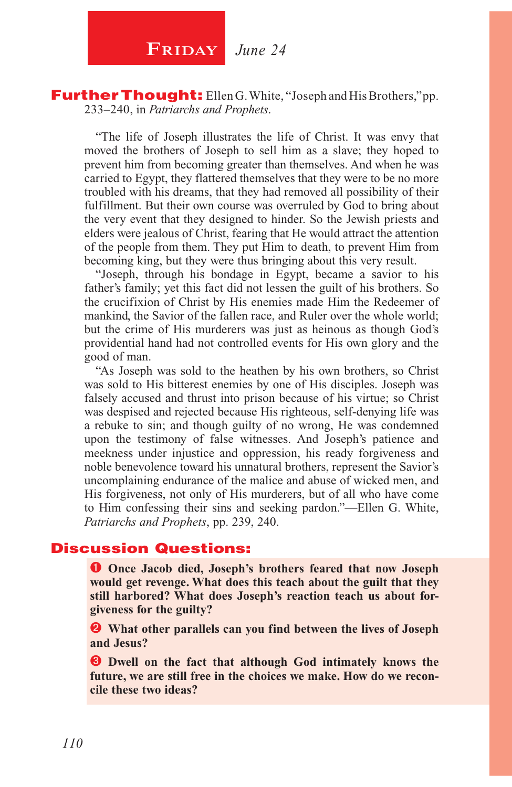**FRIDAY** June 24

**Further Thought:** Ellen G. White, "Joseph and His Brothers," pp. 233–240, in *Patriarchs and Prophets*.

"The life of Joseph illustrates the life of Christ. It was envy that moved the brothers of Joseph to sell him as a slave; they hoped to prevent him from becoming greater than themselves. And when he was carried to Egypt, they flattered themselves that they were to be no more troubled with his dreams, that they had removed all possibility of their fulfillment. But their own course was overruled by God to bring about the very event that they designed to hinder. So the Jewish priests and elders were jealous of Christ, fearing that He would attract the attention of the people from them. They put Him to death, to prevent Him from becoming king, but they were thus bringing about this very result.

"Joseph, through his bondage in Egypt, became a savior to his father's family; yet this fact did not lessen the guilt of his brothers. So the crucifixion of Christ by His enemies made Him the Redeemer of mankind, the Savior of the fallen race, and Ruler over the whole world; but the crime of His murderers was just as heinous as though God's providential hand had not controlled events for His own glory and the good of man.

"As Joseph was sold to the heathen by his own brothers, so Christ was sold to His bitterest enemies by one of His disciples. Joseph was falsely accused and thrust into prison because of his virtue; so Christ was despised and rejected because His righteous, self-denying life was a rebuke to sin; and though guilty of no wrong, He was condemned upon the testimony of false witnesses. And Joseph's patience and meekness under injustice and oppression, his ready forgiveness and noble benevolence toward his unnatural brothers, represent the Savior's uncomplaining endurance of the malice and abuse of wicked men, and His forgiveness, not only of His murderers, but of all who have come to Him confessing their sins and seeking pardon."—Ellen G. White, *Patriarchs and Prophets*, pp. 239, 240.

#### Discussion Questions:

**O** Once Jacob died, Joseph's brothers feared that now Joseph **would get revenge. What does this teach about the guilt that they still harbored? What does Joseph's reaction teach us about forgiveness for the guilty?**

 **What other parallels can you find between the lives of Joseph and Jesus?**

 $\bullet$  Dwell on the fact that although God intimately knows the **future, we are still free in the choices we make. How do we reconcile these two ideas?**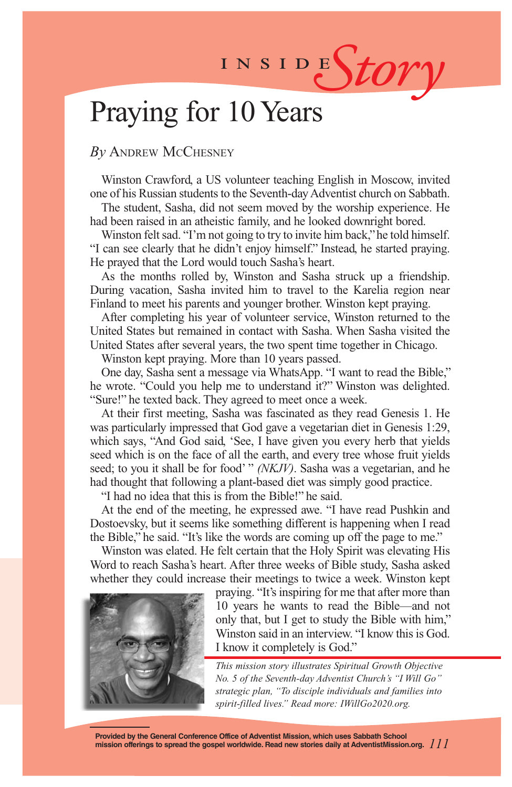# INSIDES*tory*

# Praying for 10 Years

#### *By* Andrew McChesney

Winston Crawford, a US volunteer teaching English in Moscow, invited one of his Russian students to the Seventh-day Adventist church on Sabbath.

The student, Sasha, did not seem moved by the worship experience. He had been raised in an atheistic family, and he looked downright bored.

Winston felt sad. "I'm not going to try to invite him back," he told himself. "I can see clearly that he didn't enjoy himself." Instead, he started praying. He prayed that the Lord would touch Sasha's heart.

As the months rolled by, Winston and Sasha struck up a friendship. During vacation, Sasha invited him to travel to the Karelia region near Finland to meet his parents and younger brother. Winston kept praying.

After completing his year of volunteer service, Winston returned to the United States but remained in contact with Sasha. When Sasha visited the United States after several years, the two spent time together in Chicago.

Winston kept praying. More than 10 years passed.

One day, Sasha sent a message via WhatsApp. "I want to read the Bible," he wrote. "Could you help me to understand it?" Winston was delighted. "Sure!" he texted back. They agreed to meet once a week.

At their first meeting, Sasha was fascinated as they read Genesis 1. He was particularly impressed that God gave a vegetarian diet in Genesis 1:29, which says, "And God said, 'See, I have given you every herb that yields seed which is on the face of all the earth, and every tree whose fruit yields seed; to you it shall be for food' " *(NKJV)*. Sasha was a vegetarian, and he had thought that following a plant-based diet was simply good practice.

"I had no idea that this is from the Bible!" he said.

At the end of the meeting, he expressed awe. "I have read Pushkin and Dostoevsky, but it seems like something different is happening when I read the Bible," he said. "It's like the words are coming up off the page to me."

Winston was elated. He felt certain that the Holy Spirit was elevating His Word to reach Sasha's heart. After three weeks of Bible study, Sasha asked whether they could increase their meetings to twice a week. Winston kept



praying. "It's inspiring for me that after more than 10 years he wants to read the Bible—and not only that, but I get to study the Bible with him," Winston said in an interview. "I know this is God. I know it completely is God."

*This mission story illustrates Spiritual Growth Objective No. 5 of the Seventh-day Adventist Church's "I Will Go" strategic plan, "To disciple individuals and families into spirit-filled lives." Read more: IWillGo2020.org.*

**Provided by the General Conference Office of Adventist Mission, which uses Sabbath School mission offerings to spread the gospel worldwide. Read new stories daily at AdventistMission.org.** *111*